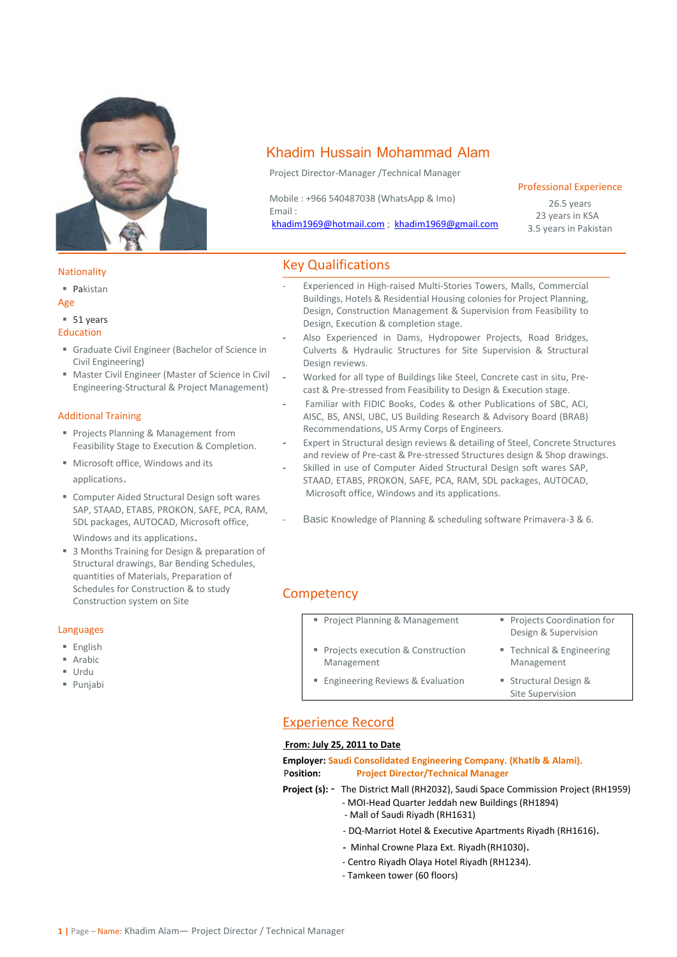

#### **Nationality**

▪ Pakistan

#### Age

### ■ 51 years

### Education

- **■** Graduate Civil Engineer (Bachelor of Science in Civil Engineering)
- Master Civil Engineer (Master of Science in Civil Engineering-Structural & Project Management)

### Additional Training

- Projects Planning & Management from Feasibility Stage to Execution & Completion.
- Microsoft office, Windows and its applications.
- Computer Aided Structural Design soft wares SAP, STAAD, ETABS, PROKON, SAFE, PCA, RAM, SDL packages, AUTOCAD, Microsoft office, Windows and its applications.
- 3 Months Training for Design & preparation of Structural drawings, Bar Bending Schedules, quantities of Materials, Preparation of Schedules for Construction & to study Construction system on Site

### Languages

- English
- Arabic
- Urdu
- Punjabi

# Khadim Hussain Mohammad Alam

Project Director-Manager /Technical Manager

Mobile : +966 540487038 (WhatsApp & Imo) Email :

[khadim1969@hotmail.com](mailto:khadim1969@hotmail.com) ; [khadim1969@gmail.com](mailto:khadim1969@gmail.com)

### Professional Experience

26.5 years 23 years in KSA 3.5 years in Pakistan

## Key Qualifications

- Experienced in High-raised Multi-Stories Towers, Malls, Commercial Buildings, Hotels & Residential Housing colonies for Project Planning, Design, Construction Management & Supervision from Feasibility to Design, Execution & completion stage.
- Also Experienced in Dams, Hydropower Projects, Road Bridges, Culverts & Hydraulic Structures for Site Supervision & Structural Design reviews.
- Worked for all type of Buildings like Steel, Concrete cast in situ, Precast & Pre-stressed from Feasibility to Design & Execution stage.
- Familiar with FIDIC Books, Codes & other Publications of SBC, ACI, AISC, BS, ANSI, UBC, US Building Research & Advisory Board (BRAB) Recommendations, US Army Corps of Engineers.
- Expert in Structural design reviews & detailing of Steel, Concrete Structures and review of Pre-cast & Pre-stressed Structures design & Shop drawings.
- Skilled in use of Computer Aided Structural Design soft wares SAP, STAAD, ETABS, PROKON, SAFE, PCA, RAM, SDL packages, AUTOCAD, Microsoft office, Windows and its applications.
	- Basic Knowledge of Planning & scheduling software Primavera-3 & 6.

## **Competency**

- Project Planning & Management Projects Coordination for
	- Design & Supervision Technical & Engineering
- **Projects execution & Construction** Management
- Engineering Reviews & Evaluation Structural Design &
	- Site Supervision

Management

## Experience Record

#### **From: July 25, 2011 to Date**

**Employer: Saudi Consolidated Engineering Company. (Khatib & Alami).** P**osition: Project Director/Technical Manager**

- **Project (s):**  The District Mall (RH2032), Saudi Space Commission Project (RH1959)
	- MOI-Head Quarter Jeddah new Buildings (RH1894)
	- Mall of Saudi Riyadh (RH1631)
		- DQ-Marriot Hotel & Executive Apartments Riyadh (RH1616).
		- Minhal Crowne Plaza Ext. Riyadh(RH1030).
	- Centro Riyadh Olaya Hotel Riyadh (RH1234).
	- Tamkeen tower (60 floors)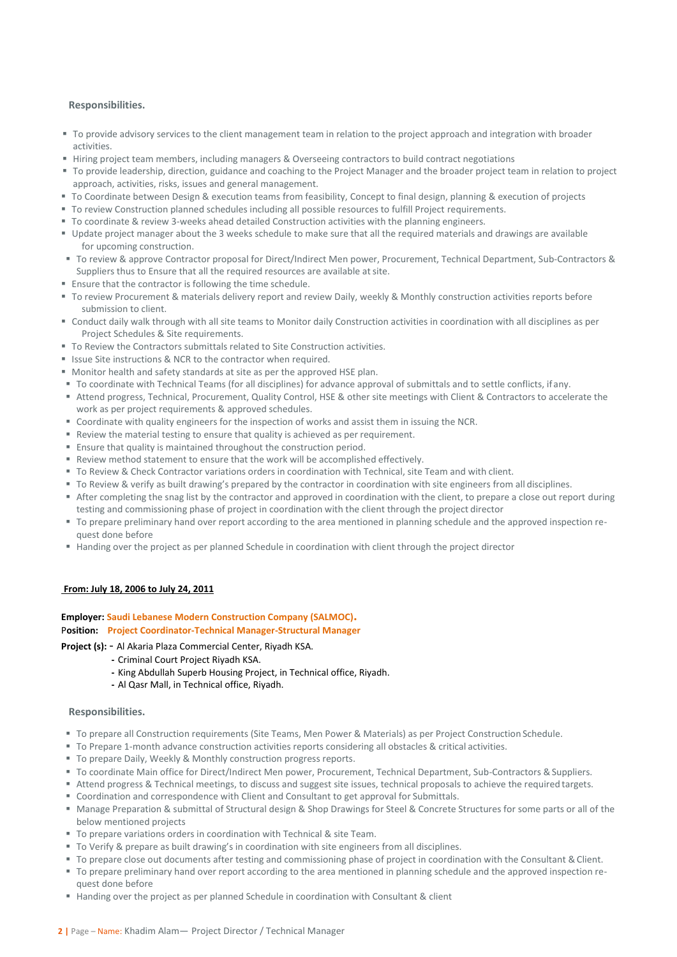## **Responsibilities.**

- To provide advisory services to the client management team in relation to the project approach and integration with broader activities.
- **Hiring project team members, including managers & Overseeing contractors to build contract negotiations**
- To provide leadership, direction, guidance and coaching to the Project Manager and the broader project team in relation to project approach, activities, risks, issues and general management.
- To Coordinate between Design & execution teams from feasibility, Concept to final design, planning & execution of projects
- To review Construction planned schedules including all possible resources to fulfill Project requirements.
- To coordinate & review 3-weeks ahead detailed Construction activities with the planning engineers.
- Update project manager about the 3 weeks schedule to make sure that all the required materials and drawings are available for upcoming construction.
- To review & approve Contractor proposal for Direct/Indirect Men power, Procurement, Technical Department, Sub-Contractors & Suppliers thus to Ensure that all the required resources are available at site.
- Ensure that the contractor is following the time schedule.
- To review Procurement & materials delivery report and review Daily, weekly & Monthly construction activities reports before submission to client.
- Conduct daily walk through with all site teams to Monitor daily Construction activities in coordination with all disciplines as per Project Schedules & Site requirements.
- To Review the Contractors submittals related to Site Construction activities.
- Issue Site instructions & NCR to the contractor when required.
- Monitor health and safety standards at site as per the approved HSE plan.
- To coordinate with Technical Teams (for all disciplines) for advance approval of submittals and to settle conflicts, if any.
- Attend progress, Technical, Procurement, Quality Control, HSE & other site meetings with Client & Contractors to accelerate the work as per project requirements & approved schedules.
- Coordinate with quality engineers for the inspection of works and assist them in issuing the NCR.
- Review the material testing to ensure that quality is achieved as per requirement.
- **Ensure that quality is maintained throughout the construction period.**
- Review method statement to ensure that the work will be accomplished effectively.
- To Review & Check Contractor variations orders in coordination with Technical, site Team and with client.
- To Review & verify as built drawing's prepared by the contractor in coordination with site engineers from all disciplines.
- After completing the snag list by the contractor and approved in coordination with the client, to prepare a close out report during testing and commissioning phase of project in coordination with the client through the project director
- To prepare preliminary hand over report according to the area mentioned in planning schedule and the approved inspection request done before
- Handing over the project as per planned Schedule in coordination with client through the project director

## **From: July 18, 2006 to July 24, 2011**

## **Employer: Saudi Lebanese Modern Construction Company (SALMOC).**

#### P**osition: Project Coordinator-Technical Manager-Structural Manager**

**Project (s):** - Al Akaria Plaza Commercial Center, Riyadh KSA.

- **-** Criminal Court Project Riyadh KSA.
- **-** King Abdullah Superb Housing Project, in Technical office, Riyadh.
- **-** Al Qasr Mall, in Technical office, Riyadh.

### **Responsibilities.**

- To prepare all Construction requirements (Site Teams, Men Power & Materials) as per Project Construction Schedule.
- To Prepare 1-month advance construction activities reports considering all obstacles & critical activities.
- To prepare Daily, Weekly & Monthly construction progress reports.
- To coordinate Main office for Direct/Indirect Men power, Procurement, Technical Department, Sub-Contractors & Suppliers.
- Attend progress & Technical meetings, to discuss and suggest site issues, technical proposals to achieve the required targets.
- Coordination and correspondence with Client and Consultant to get approval for Submittals.
- Manage Preparation & submittal of Structural design & Shop Drawings for Steel & Concrete Structures for some parts or all of the below mentioned projects
- To prepare variations orders in coordination with Technical & site Team.
- To Verify & prepare as built drawing's in coordination with site engineers from all disciplines.
- To prepare close out documents after testing and commissioning phase of project in coordination with the Consultant & Client.
- To prepare preliminary hand over report according to the area mentioned in planning schedule and the approved inspection request done before
- Handing over the project as per planned Schedule in coordination with Consultant & client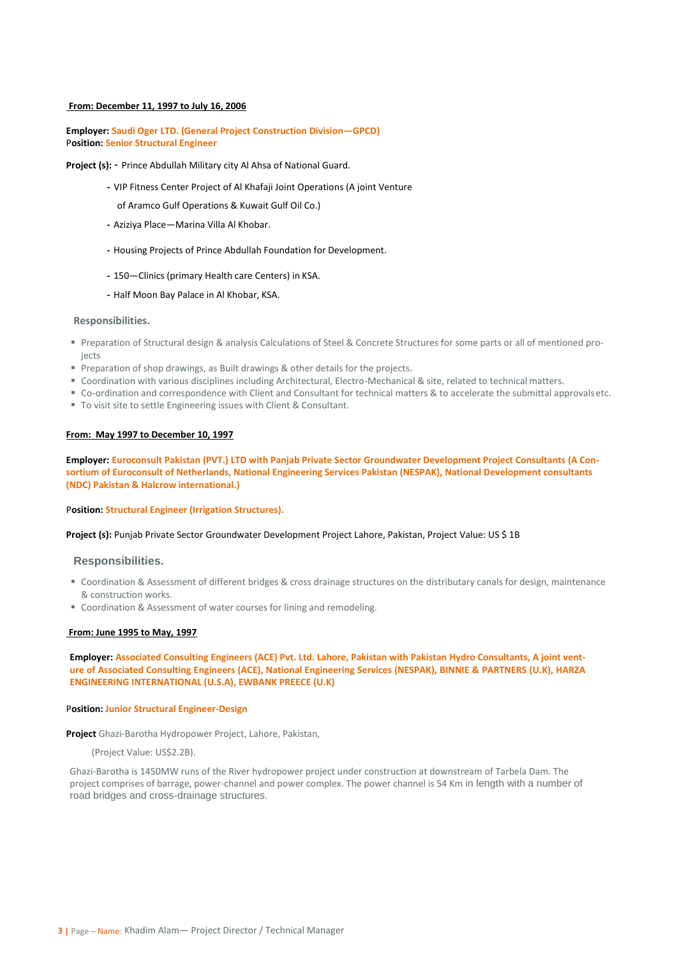#### **From: December 11, 1997 to July 16, 2006**

## **Employer: Saudi Oger LTD. (General Project Construction Division—GPCD)** P**osition: Senior Structural Engineer**

Project (s): - Prince Abdullah Military city Al Ahsa of National Guard.

- **-** VIP Fitness Center Project of Al Khafaji Joint Operations (A joint Venture
	- of Aramco Gulf Operations & Kuwait Gulf Oil Co.)
- **-** Aziziya Place—Marina Villa Al Khobar.
- **-** Housing Projects of Prince Abdullah Foundation for Development.
- **-** 150—Clinics (primary Health care Centers) in KSA.
- **-** Half Moon Bay Palace in Al Khobar, KSA.

#### **Responsibilities.**

- Preparation of Structural design & analysis Calculations of Steel & Concrete Structures for some parts or all of mentioned projects
- **Preparation of shop drawings, as Built drawings & other details for the projects.**
- Coordination with various disciplines including Architectural, Electro-Mechanical & site, related to technical matters.
- Co-ordination and correspondence with Client and Consultant for technical matters & to accelerate the submittal approvalsetc.
- To visit site to settle Engineering issues with Client & Consultant.

#### **From: May 1997 to December 10, 1997**

## **Employer: Euroconsult Pakistan (PVT.) LTD with Panjab Private Sector Groundwater Development Project Consultants (A Consortium of Euroconsult of Netherlands, National Engineering Services Pakistan (NESPAK), National Development consultants (NDC) Pakistan & Halcrow international.)**

#### P**osition: Structural Engineer (Irrigation Structures).**

#### **Project (s):** Punjab Private Sector Groundwater Development Project Lahore, Pakistan, Project Value: US \$ 1B

#### **Responsibilities.**

- Coordination & Assessment of different bridges & cross drainage structures on the distributary canals for design, maintenance & construction works.
- Coordination & Assessment of water courses for lining and remodeling.

#### **From: June 1995 to May, 1997**

**Employer: Associated Consulting Engineers (ACE) Pvt. Ltd. Lahore, Pakistan with Pakistan Hydro Consultants, A joint venture of Associated Consulting Engineers (ACE), National Engineering Services (NESPAK), BINNIE & PARTNERS (U.K), HARZA ENGINEERING INTERNATIONAL (U.S.A), EWBANK PREECE (U.K)**

#### P**osition: Junior Structural Engineer-Design**

**Project** Ghazi-Barotha Hydropower Project, Lahore, Pakistan,

(Project Value: US\$2.2B).

Ghazi-Barotha is 1450MW runs of the River hydropower project under construction at downstream of Tarbela Dam. The project comprises of barrage, power-channel and power complex. The power channel is 54 Km in length with a number of road bridges and cross-drainage structures.